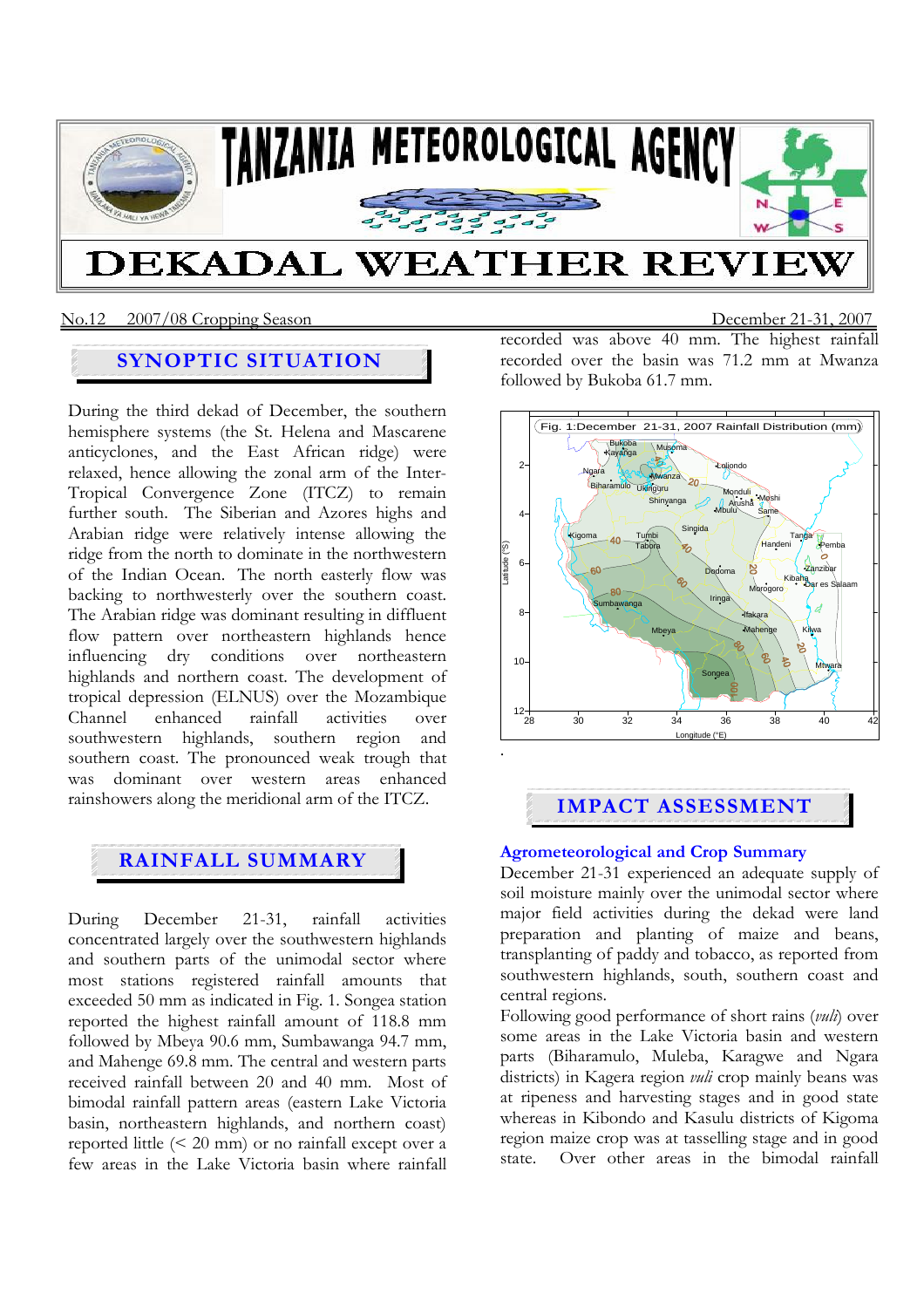

### No.12 2007/08 Cropping SeasonDecember 21-31, 2007

## **SYNOPTIC SITUATION**

During the third dekad of December, the southern hemisphere systems (the St. Helena and Mascarene anticyclones, and the East African ridge) were relaxed, hence allowing the zonal arm of the Inter-Tropical Convergence Zone (ITCZ) to remain further south. The Siberian and Azores highs and Arabian ridge were relatively intense allowing the ridge from the north to dominate in the northwestern of the Indian Ocean. The north easterly flow was backing to northwesterly over the southern coast. The Arabian ridge was dominant resulting in diffluent flow pattern over northeastern highlands hence influencing dry conditions over northeastern highlands and northern coast. The development of tropical depression (ELNUS) over the Mozambique Channel enhanced rainfall activities over southwestern highlands, southern region and southern coast. The pronounced weak trough that was dominant over western areas enhanced rainshowers along the meridional arm of the ITCZ.

# **RAINFALL SUMMARY**

During December 21-31, rainfall activities concentrated largely over the southwestern highlands and southern parts of the unimodal sector where most stations registered rainfall amounts that exceeded 50 mm as indicated in Fig. 1. Songea station reported the highest rainfall amount of 118.8 mm followed by Mbeya 90.6 mm, Sumbawanga 94.7 mm, and Mahenge 69.8 mm. The central and western parts received rainfall between 20 and 40 mm. Most of bimodal rainfall pattern areas (eastern Lake Victoria basin, northeastern highlands, and northern coast) reported little (< 20 mm) or no rainfall except over a few areas in the Lake Victoria basin where rainfall

recorded was above 40 mm. The highest rainfall recorded over the basin was 71.2 mm at Mwanza followed by Bukoba 61.7 mm.



## **IMPACT ASSESSMENT**

#### **Agrometeorological and Crop Summary**

December 21-31 experienced an adequate supply of soil moisture mainly over the unimodal sector where major field activities during the dekad were land preparation and planting of maize and beans, transplanting of paddy and tobacco, as reported from southwestern highlands, south, southern coast and central regions.

Following good performance of short rains (*vuli*) over some areas in the Lake Victoria basin and western parts (Biharamulo, Muleba, Karagwe and Ngara districts) in Kagera region *vuli* crop mainly beans was at ripeness and harvesting stages and in good state whereas in Kibondo and Kasulu districts of Kigoma region maize crop was at tasselling stage and in good state. Over other areas in the bimodal rainfall